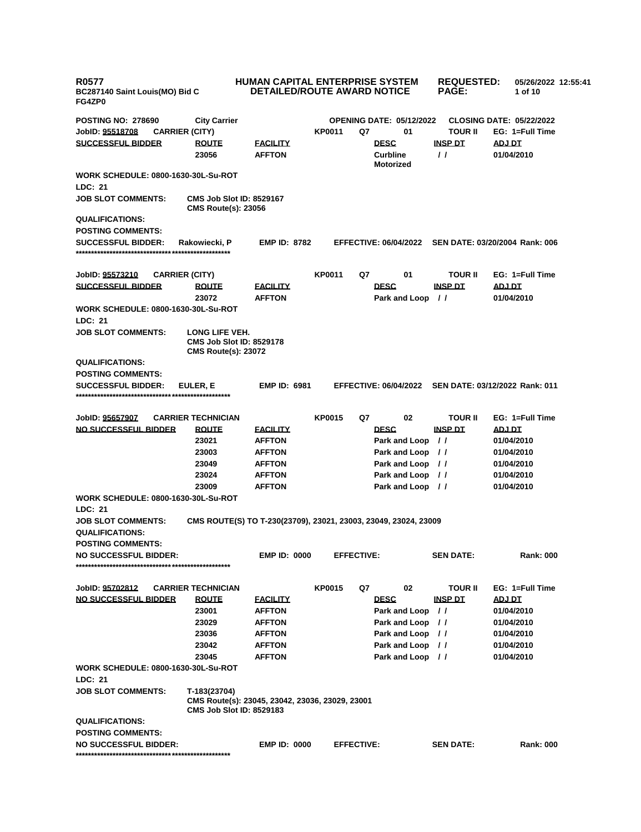| <b>R0577</b><br>BC287140 Saint Louis(MO) Bid C<br>FG4ZP0     |                                                               | HUMAN CAPITAL ENTERPRISE SYSTEM<br><b>DETAILED/ROUTE AWARD NOTICE</b> |               |                   |                                     | <b>REQUESTED:</b><br><b>PAGE:</b> | 05/26/2022 12:55:41<br>1 of 10  |  |
|--------------------------------------------------------------|---------------------------------------------------------------|-----------------------------------------------------------------------|---------------|-------------------|-------------------------------------|-----------------------------------|---------------------------------|--|
| <b>POSTING NO: 278690</b>                                    | <b>City Carrier</b>                                           |                                                                       |               |                   | <b>OPENING DATE: 05/12/2022</b>     |                                   | <b>CLOSING DATE: 05/22/2022</b> |  |
| JobID: 95518708                                              | <b>CARRIER (CITY)</b>                                         |                                                                       | <b>KP0011</b> | Q7                | 01                                  | <b>TOUR II</b>                    | EG: 1=Full Time                 |  |
| <b>SUCCESSFUL BIDDER</b>                                     | <b>ROUTE</b>                                                  | <b>FACILITY</b>                                                       |               |                   | <b>DESC</b>                         | <b>INSP DT</b>                    | ADJ DT                          |  |
|                                                              | 23056                                                         | <b>AFFTON</b>                                                         |               |                   | <b>Curbline</b><br><b>Motorized</b> | $\prime$                          | 01/04/2010                      |  |
| <b>WORK SCHEDULE: 0800-1630-30L-Su-ROT</b><br>LDC: 21        |                                                               |                                                                       |               |                   |                                     |                                   |                                 |  |
| <b>JOB SLOT COMMENTS:</b>                                    | <b>CMS Job Slot ID: 8529167</b><br><b>CMS Route(s): 23056</b> |                                                                       |               |                   |                                     |                                   |                                 |  |
| <b>QUALIFICATIONS:</b>                                       |                                                               |                                                                       |               |                   |                                     |                                   |                                 |  |
| <b>POSTING COMMENTS:</b>                                     |                                                               |                                                                       |               |                   |                                     |                                   |                                 |  |
| <b>SUCCESSFUL BIDDER:</b>                                    | Rakowiecki, P                                                 | <b>EMP ID: 8782</b>                                                   |               |                   | <b>EFFECTIVE: 06/04/2022</b>        |                                   | SEN DATE: 03/20/2004 Rank: 006  |  |
| JobID: <u>95573210</u>                                       | <b>CARRIER (CITY)</b>                                         |                                                                       | <b>KP0011</b> | Q7                | 01                                  | TOUR II                           | EG: 1=Full Time                 |  |
| <b>SUCCESSFUL BIDDER</b>                                     | <b>ROUTE</b>                                                  | <u>FACILITY</u>                                                       |               |                   | <b>DESC</b>                         | <b>INSP DT</b>                    | <u>ADJ DT</u>                   |  |
|                                                              | 23072                                                         | <b>AFFTON</b>                                                         |               |                   | Park and Loop                       | $\frac{1}{2}$                     | 01/04/2010                      |  |
| <b>WORK SCHEDULE: 0800-1630-30L-Su-ROT</b><br><b>LDC: 21</b> |                                                               |                                                                       |               |                   |                                     |                                   |                                 |  |
| <b>JOB SLOT COMMENTS:</b>                                    | LONG LIFE VEH.                                                |                                                                       |               |                   |                                     |                                   |                                 |  |
|                                                              | <b>CMS Job Slot ID: 8529178</b><br><b>CMS Route(s): 23072</b> |                                                                       |               |                   |                                     |                                   |                                 |  |
| <b>QUALIFICATIONS:</b>                                       |                                                               |                                                                       |               |                   |                                     |                                   |                                 |  |
| <b>POSTING COMMENTS:</b>                                     |                                                               |                                                                       |               |                   |                                     |                                   |                                 |  |
| <b>SUCCESSFUL BIDDER:</b>                                    | EULER, E                                                      | <b>EMP ID: 6981</b>                                                   |               |                   | <b>EFFECTIVE: 06/04/2022</b>        |                                   | SEN DATE: 03/12/2022 Rank: 011  |  |
| JobID: 95657907                                              | <b>CARRIER TECHNICIAN</b>                                     |                                                                       | <b>KP0015</b> | Q7                | 02                                  | TOUR II                           | EG: 1=Full Time                 |  |
| <b>NO SUCCESSFUL BIDDER</b>                                  | <b>ROUTE</b>                                                  | <b>FACILITY</b>                                                       |               |                   | <b>DESC</b>                         | <b>INSP DT</b>                    | <u>ADJ DT</u>                   |  |
|                                                              | 23021                                                         | <b>AFFTON</b>                                                         |               |                   | Park and Loop                       | $\frac{1}{2}$                     | 01/04/2010                      |  |
|                                                              | 23003                                                         | <b>AFFTON</b>                                                         |               |                   | Park and Loop                       | $\frac{1}{2}$                     | 01/04/2010                      |  |
|                                                              | 23049                                                         | <b>AFFTON</b>                                                         |               |                   | Park and Loop //                    |                                   | 01/04/2010                      |  |
|                                                              | 23024                                                         | <b>AFFTON</b>                                                         |               |                   | Park and Loop //                    |                                   | 01/04/2010                      |  |
|                                                              | 23009                                                         | <b>AFFTON</b>                                                         |               |                   | Park and Loop //                    |                                   | 01/04/2010                      |  |
| <b>WORK SCHEDULE: 0800-1630-30L-Su-ROT</b><br>LDC: 21        |                                                               |                                                                       |               |                   |                                     |                                   |                                 |  |
| <b>JOB SLOT COMMENTS:</b>                                    |                                                               | CMS ROUTE(S) TO T-230(23709), 23021, 23003, 23049, 23024, 23009       |               |                   |                                     |                                   |                                 |  |
| <b>QUALIFICATIONS:</b>                                       |                                                               |                                                                       |               |                   |                                     |                                   |                                 |  |
| <b>POSTING COMMENTS:</b>                                     |                                                               |                                                                       |               |                   |                                     |                                   |                                 |  |
| <b>NO SUCCESSFUL BIDDER:</b>                                 |                                                               | <b>EMP ID: 0000</b>                                                   |               | <b>EFFECTIVE:</b> |                                     | <b>SEN DATE:</b>                  | <b>Rank: 000</b>                |  |
| JobID: 95702812                                              | <b>CARRIER TECHNICIAN</b>                                     |                                                                       | <b>KP0015</b> | Q7                | 02                                  | TOUR II                           | EG: 1=Full Time                 |  |
| <b>NO SUCCESSFUL BIDDER</b>                                  | <b>ROUTE</b>                                                  | <b>FACILITY</b>                                                       |               |                   | <b>DESC</b>                         | <b>INSP DT</b>                    | <b>ADJ DT</b>                   |  |
|                                                              | 23001                                                         | <b>AFFTON</b>                                                         |               |                   | Park and Loop //                    |                                   | 01/04/2010                      |  |
|                                                              | 23029                                                         | <b>AFFTON</b>                                                         |               |                   | Park and Loop                       | $\frac{1}{2}$                     | 01/04/2010                      |  |
|                                                              | 23036                                                         | <b>AFFTON</b>                                                         |               |                   | Park and Loop //                    |                                   | 01/04/2010                      |  |
|                                                              | 23042                                                         | <b>AFFTON</b>                                                         |               |                   | Park and Loop //                    |                                   | 01/04/2010                      |  |
|                                                              | 23045                                                         | <b>AFFTON</b>                                                         |               |                   | Park and Loop //                    |                                   | 01/04/2010                      |  |
| <b>WORK SCHEDULE: 0800-1630-30L-Su-ROT</b><br>LDC: 21        |                                                               |                                                                       |               |                   |                                     |                                   |                                 |  |
| <b>JOB SLOT COMMENTS:</b>                                    | T-183(23704)<br><b>CMS Job Slot ID: 8529183</b>               | CMS Route(s): 23045, 23042, 23036, 23029, 23001                       |               |                   |                                     |                                   |                                 |  |
| <b>QUALIFICATIONS:</b>                                       |                                                               |                                                                       |               |                   |                                     |                                   |                                 |  |
| <b>POSTING COMMENTS:</b>                                     |                                                               |                                                                       |               |                   |                                     |                                   |                                 |  |
| <b>NO SUCCESSFUL BIDDER:</b>                                 |                                                               | <b>EMP ID: 0000</b>                                                   |               | <b>EFFECTIVE:</b> |                                     | <b>SEN DATE:</b>                  | <b>Rank: 000</b>                |  |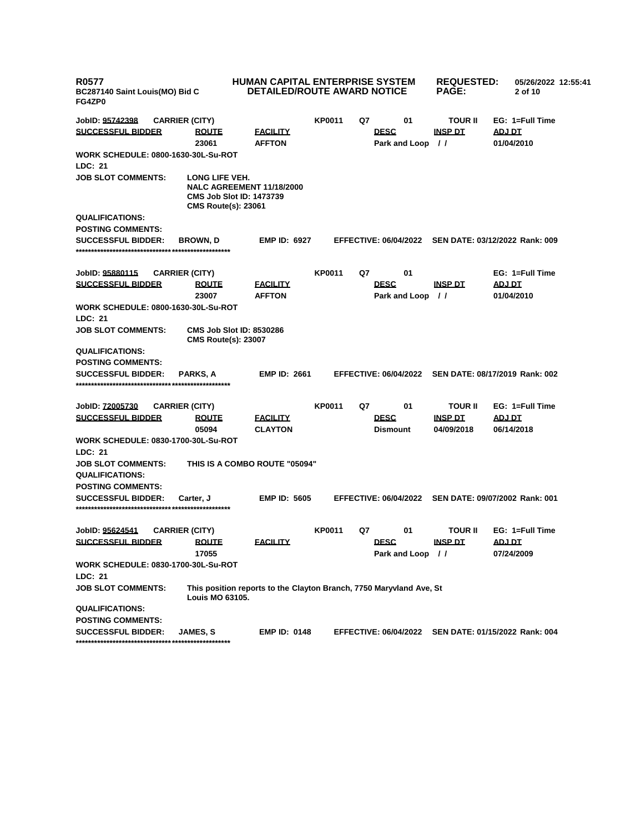| <b>R0577</b><br>BC287140 Saint Louis(MO) Bid C<br>FG4ZP0     |                                                                                                                     | <b>HUMAN CAPITAL ENTERPRISE SYSTEM</b><br>DETAILED/ROUTE AWARD NOTICE |               |    | <b>REQUESTED:</b><br><b>PAGE:</b> | 05/26/2022 12:55:41<br>2 of 10 |                                |
|--------------------------------------------------------------|---------------------------------------------------------------------------------------------------------------------|-----------------------------------------------------------------------|---------------|----|-----------------------------------|--------------------------------|--------------------------------|
| JobID: 95742398                                              | <b>CARRIER (CITY)</b>                                                                                               |                                                                       | <b>KP0011</b> | Q7 | 01                                | <b>TOUR II</b>                 | EG: 1=Full Time                |
| <b>SUCCESSFUL BIDDER</b>                                     | <u>ROUTE</u><br>23061                                                                                               | <b>FACILITY</b><br><b>AFFTON</b>                                      |               |    | <b>DESC</b><br>Park and Loop      | <b>INSP DT</b><br>$\prime$     | ADJ DT<br>01/04/2010           |
| <b>WORK SCHEDULE: 0800-1630-30L-Su-ROT</b><br>LDC: 21        |                                                                                                                     |                                                                       |               |    |                                   |                                |                                |
| <b>JOB SLOT COMMENTS:</b>                                    | LONG LIFE VEH.<br><b>NALC AGREEMENT 11/18/2000</b><br><b>CMS Job Slot ID: 1473739</b><br><b>CMS Route(s): 23061</b> |                                                                       |               |    |                                   |                                |                                |
| <b>QUALIFICATIONS:</b>                                       |                                                                                                                     |                                                                       |               |    |                                   |                                |                                |
| <b>POSTING COMMENTS:</b>                                     |                                                                                                                     |                                                                       |               |    |                                   |                                |                                |
| <b>SUCCESSFUL BIDDER:</b>                                    | <b>BROWN, D</b>                                                                                                     | <b>EMP ID: 6927</b>                                                   |               |    | <b>EFFECTIVE: 06/04/2022</b>      |                                | SEN DATE: 03/12/2022 Rank: 009 |
| JobID: 95880115                                              | <b>CARRIER (CITY)</b>                                                                                               |                                                                       | <b>KP0011</b> | Q7 | 01                                |                                | EG: 1=Full Time                |
| <b>SUCCESSFUL BIDDER</b>                                     | <b>ROUTE</b>                                                                                                        | <b>FACILITY</b>                                                       |               |    | <b>DESC</b>                       | <b>INSP DT</b>                 | <b>ADJ DT</b>                  |
|                                                              | 23007                                                                                                               | <b>AFFTON</b>                                                         |               |    | Park and Loop                     | $\prime$                       | 01/04/2010                     |
| <b>WORK SCHEDULE: 0800-1630-30L-Su-ROT</b>                   |                                                                                                                     |                                                                       |               |    |                                   |                                |                                |
| <b>LDC: 21</b>                                               |                                                                                                                     |                                                                       |               |    |                                   |                                |                                |
| <b>JOB SLOT COMMENTS:</b>                                    | <b>CMS Job Slot ID: 8530286</b><br><b>CMS Route(s): 23007</b>                                                       |                                                                       |               |    |                                   |                                |                                |
| <b>QUALIFICATIONS:</b>                                       |                                                                                                                     |                                                                       |               |    |                                   |                                |                                |
| <b>POSTING COMMENTS:</b>                                     |                                                                                                                     |                                                                       |               |    |                                   |                                |                                |
| <b>SUCCESSFUL BIDDER:</b>                                    | <b>PARKS.A</b>                                                                                                      | <b>EMP ID: 2661</b>                                                   |               |    | <b>EFFECTIVE: 06/04/2022</b>      |                                | SEN DATE: 08/17/2019 Rank: 002 |
| JobID: <u>72005730</u>                                       | <b>CARRIER (CITY)</b>                                                                                               |                                                                       | KP0011        | Q7 | 01                                | <b>TOUR II</b>                 | EG: 1=Full Time                |
| <b>SUCCESSFUL BIDDER</b>                                     | <u>ROUTE</u><br>05094                                                                                               | <b>FACILITY</b><br><b>CLAYTON</b>                                     |               |    | <b>DESC</b><br><b>Dismount</b>    | <b>INSP DT</b><br>04/09/2018   | <u>ADJ DT</u><br>06/14/2018    |
| <b>WORK SCHEDULE: 0830-1700-30L-Su-ROT</b><br><b>LDC: 21</b> |                                                                                                                     |                                                                       |               |    |                                   |                                |                                |
| <b>JOB SLOT COMMENTS:</b>                                    | THIS IS A COMBO ROUTE "05094"                                                                                       |                                                                       |               |    |                                   |                                |                                |
| <b>QUALIFICATIONS:</b>                                       |                                                                                                                     |                                                                       |               |    |                                   |                                |                                |
| <b>POSTING COMMENTS:</b>                                     |                                                                                                                     |                                                                       |               |    |                                   |                                |                                |
| <b>SUCCESSFUL BIDDER:</b>                                    | Carter, J                                                                                                           | <b>EMP ID: 5605</b>                                                   |               |    | <b>EFFECTIVE: 06/04/2022</b>      |                                | SEN DATE: 09/07/2002 Rank: 001 |
| JobID: 95624541                                              | <b>CARRIER (CITY)</b>                                                                                               |                                                                       | <b>KP0011</b> | Q7 | 01                                | <b>TOUR II</b>                 | EG: 1=Full Time                |
| <b>SUCCESSFUL BIDDER</b>                                     | <u>ROUTE</u>                                                                                                        | <b>FACILITY</b>                                                       |               |    | <b>DESC</b>                       | <b>INSP DT</b>                 | ADJ DT                         |
|                                                              | 17055                                                                                                               |                                                                       |               |    | Park and Loop //                  |                                | 07/24/2009                     |
| WORK SCHEDULE: 0830-1700-30L-Su-ROT                          |                                                                                                                     |                                                                       |               |    |                                   |                                |                                |
| <b>LDC: 21</b>                                               |                                                                                                                     |                                                                       |               |    |                                   |                                |                                |
| <b>JOB SLOT COMMENTS:</b>                                    | This position reports to the Clayton Branch, 7750 Maryvland Ave, St<br>Louis MO 63105.                              |                                                                       |               |    |                                   |                                |                                |
| <b>QUALIFICATIONS:</b>                                       |                                                                                                                     |                                                                       |               |    |                                   |                                |                                |
| <b>POSTING COMMENTS:</b>                                     |                                                                                                                     |                                                                       |               |    |                                   |                                |                                |
| <b>SUCCESSFUL BIDDER:</b>                                    | <b>JAMES, S</b>                                                                                                     | <b>EMP ID: 0148</b>                                                   |               |    | <b>EFFECTIVE: 06/04/2022</b>      |                                | SEN DATE: 01/15/2022 Rank: 004 |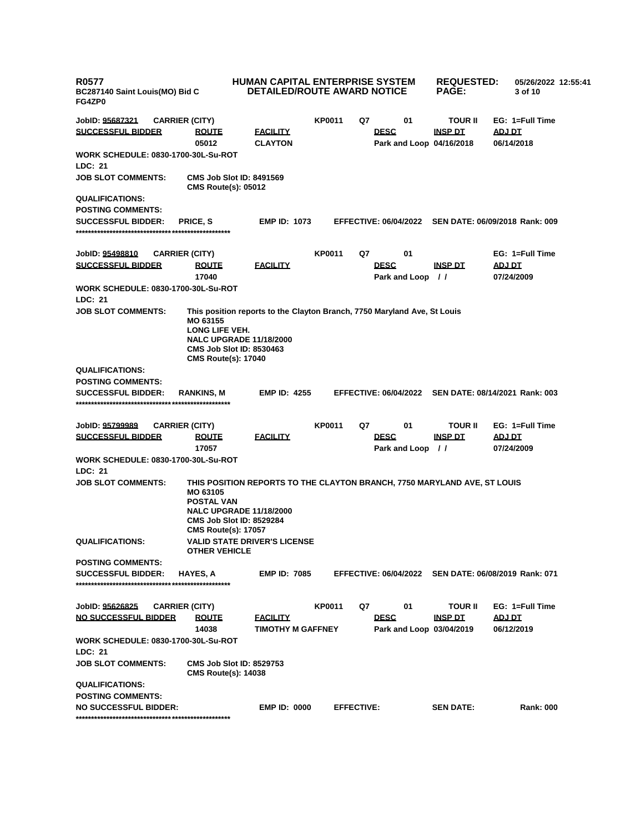| <b>R0577</b><br>BC287140 Saint Louis(MO) Bid C<br>FG4ZP0 |                                                                                                                                                                                                              | <b>HUMAN CAPITAL ENTERPRISE SYSTEM</b><br><b>DETAILED/ROUTE AWARD NOTICE</b> |               |                              |                  | <b>REQUESTED:</b><br><b>PAGE:</b>          | 05/26/2022 12:55:41<br>3 of 10                       |  |
|----------------------------------------------------------|--------------------------------------------------------------------------------------------------------------------------------------------------------------------------------------------------------------|------------------------------------------------------------------------------|---------------|------------------------------|------------------|--------------------------------------------|------------------------------------------------------|--|
| JobID: <u>95687321</u>                                   | <b>CARRIER (CITY)</b>                                                                                                                                                                                        |                                                                              | <b>KP0011</b> | Q7                           | 01               | <b>TOUR II</b>                             | EG: 1=Full Time                                      |  |
| <b>SUCCESSFUL BIDDER</b>                                 | <b>ROUTE</b><br>05012                                                                                                                                                                                        | <b>FACILITY</b><br><b>CLAYTON</b>                                            |               | <b>DESC</b>                  |                  | <b>INSP DT</b><br>Park and Loop 04/16/2018 | ADJ DT<br>06/14/2018                                 |  |
| <b>LDC: 21</b>                                           | WORK SCHEDULE: 0830-1700-30L-Su-ROT                                                                                                                                                                          |                                                                              |               |                              |                  |                                            |                                                      |  |
| <b>JOB SLOT COMMENTS:</b>                                | <b>CMS Job Slot ID: 8491569</b><br><b>CMS Route(s): 05012</b>                                                                                                                                                |                                                                              |               |                              |                  |                                            |                                                      |  |
| <b>QUALIFICATIONS:</b>                                   |                                                                                                                                                                                                              |                                                                              |               |                              |                  |                                            |                                                      |  |
| <b>POSTING COMMENTS:</b>                                 |                                                                                                                                                                                                              |                                                                              |               |                              |                  |                                            |                                                      |  |
| <b>SUCCESSFUL BIDDER:</b>                                | <b>PRICE, S</b>                                                                                                                                                                                              | <b>EMP ID: 1073</b>                                                          |               |                              |                  |                                            | EFFECTIVE: 06/04/2022 SEN DATE: 06/09/2018 Rank: 009 |  |
| JobID: <u>95498810</u><br><b>SUCCESSFUL BIDDER</b>       | <b>CARRIER (CITY)</b><br><b>ROUTE</b>                                                                                                                                                                        | <b>FACILITY</b>                                                              | <b>KP0011</b> | Q7<br><b>DESC</b>            | 01               | <u>INSP DT</u>                             | EG: 1=Full Time<br><u>ADJ DT</u>                     |  |
|                                                          | 17040<br>WORK SCHEDULE: 0830-1700-30L-Su-ROT                                                                                                                                                                 |                                                                              |               |                              | Park and Loop    | $\frac{1}{2}$                              | 07/24/2009                                           |  |
| LDC: 21                                                  |                                                                                                                                                                                                              |                                                                              |               |                              |                  |                                            |                                                      |  |
| <b>JOB SLOT COMMENTS:</b>                                | MO 63155<br>LONG LIFE VEH.<br><b>NALC UPGRADE 11/18/2000</b><br><b>CMS Job Slot ID: 8530463</b><br><b>CMS Route(s): 17040</b>                                                                                | This position reports to the Clayton Branch, 7750 Maryland Ave, St Louis     |               |                              |                  |                                            |                                                      |  |
| <b>QUALIFICATIONS:</b>                                   |                                                                                                                                                                                                              |                                                                              |               |                              |                  |                                            |                                                      |  |
| <b>POSTING COMMENTS:</b>                                 |                                                                                                                                                                                                              |                                                                              |               |                              |                  |                                            |                                                      |  |
| <b>SUCCESSFUL BIDDER:</b>                                | RANKINS, M                                                                                                                                                                                                   | <b>EMP ID: 4255</b>                                                          |               |                              |                  |                                            | EFFECTIVE: 06/04/2022 SEN DATE: 08/14/2021 Rank: 003 |  |
| JobID: <u>95799989</u>                                   | <b>CARRIER (CITY)</b>                                                                                                                                                                                        |                                                                              | <b>KP0011</b> | Q7                           | 01               | <b>TOUR II</b>                             | EG: 1=Full Time                                      |  |
| <u>SUCCESSFUL BIDDER</u>                                 | <b>ROUTE</b><br>17057                                                                                                                                                                                        | <b>FACILITY</b>                                                              |               | <b>DESC</b>                  | Park and Loop // | <u>INSP DT</u>                             | <u>ADJ DT</u><br>07/24/2009                          |  |
|                                                          | <b>WORK SCHEDULE: 0830-1700-30L-Su-ROT</b>                                                                                                                                                                   |                                                                              |               |                              |                  |                                            |                                                      |  |
| <b>LDC: 21</b>                                           |                                                                                                                                                                                                              |                                                                              |               |                              |                  |                                            |                                                      |  |
| <b>JOB SLOT COMMENTS:</b>                                | THIS POSITION REPORTS TO THE CLAYTON BRANCH, 7750 MARYLAND AVE, ST LOUIS<br>MO 63105<br><b>POSTAL VAN</b><br><b>NALC UPGRADE 11/18/2000</b><br><b>CMS Job Slot ID: 8529284</b><br><b>CMS Route(s): 17057</b> |                                                                              |               |                              |                  |                                            |                                                      |  |
| <b>QUALIFICATIONS:</b>                                   | <b>VALID STATE DRIVER'S LICENSE</b><br><b>OTHER VEHICLE</b>                                                                                                                                                  |                                                                              |               |                              |                  |                                            |                                                      |  |
| <b>POSTING COMMENTS:</b>                                 |                                                                                                                                                                                                              |                                                                              |               |                              |                  |                                            |                                                      |  |
| <b>SUCCESSFUL BIDDER:</b>                                | <b>HAYES, A</b>                                                                                                                                                                                              | <b>EMP ID: 7085</b>                                                          |               | <b>EFFECTIVE: 06/04/2022</b> |                  |                                            | SEN DATE: 06/08/2019 Rank: 071                       |  |
| JobID: 95626825                                          | <b>CARRIER (CITY)</b>                                                                                                                                                                                        |                                                                              | <b>KP0011</b> | Q7                           | 01               | <b>TOUR II</b>                             | EG: 1=Full Time                                      |  |
| <u>NO SUCCESSFUL BIDDER</u>                              | <b>ROUTE</b><br>14038                                                                                                                                                                                        | <b>FACILITY</b><br><b>TIMOTHY M GAFFNEY</b>                                  |               | <b>DESC</b>                  |                  | <b>INSP DT</b><br>Park and Loop 03/04/2019 | ADJ DT<br>06/12/2019                                 |  |
| LDC: 21                                                  | WORK SCHEDULE: 0830-1700-30L-Su-ROT                                                                                                                                                                          |                                                                              |               |                              |                  |                                            |                                                      |  |
| <b>JOB SLOT COMMENTS:</b>                                | <b>CMS Job Slot ID: 8529753</b><br><b>CMS Route(s): 14038</b>                                                                                                                                                |                                                                              |               |                              |                  |                                            |                                                      |  |
| <b>QUALIFICATIONS:</b>                                   |                                                                                                                                                                                                              |                                                                              |               |                              |                  |                                            |                                                      |  |
| <b>POSTING COMMENTS:</b>                                 |                                                                                                                                                                                                              |                                                                              |               |                              |                  |                                            |                                                      |  |
| <b>NO SUCCESSFUL BIDDER:</b>                             |                                                                                                                                                                                                              | <b>EMP ID: 0000</b>                                                          |               | <b>EFFECTIVE:</b>            |                  | <b>SEN DATE:</b>                           | <b>Rank: 000</b>                                     |  |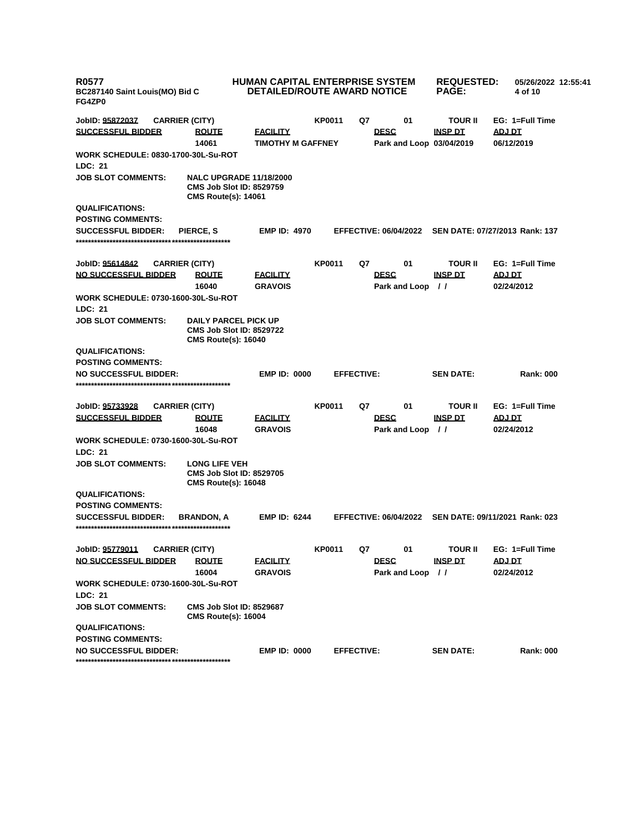| R0577<br>BC287140 Saint Louis(MO) Bid C<br>FG4ZP0 |                                                                                                 | <b>HUMAN CAPITAL ENTERPRISE SYSTEM</b><br><b>DETAILED/ROUTE AWARD NOTICE</b> |                   |    | <b>REQUESTED:</b><br><b>PAGE:</b> | 05/26/2022 12:55:41<br>4 of 10 |                                |
|---------------------------------------------------|-------------------------------------------------------------------------------------------------|------------------------------------------------------------------------------|-------------------|----|-----------------------------------|--------------------------------|--------------------------------|
| JobID: 95872037                                   | <b>CARRIER (CITY)</b>                                                                           |                                                                              | <b>KP0011</b>     | Q7 | 01                                | <b>TOUR II</b>                 | EG: 1=Full Time                |
| <b>SUCCESSFUL BIDDER</b>                          | <b>ROUTE</b>                                                                                    | <b>EACILITY</b>                                                              |                   |    | <b>DESC</b>                       | <b>INSP DT</b>                 | <b>ADJ DT</b>                  |
|                                                   | 14061                                                                                           | <b>TIMOTHY M GAFFNEY</b>                                                     |                   |    | Park and Loop 03/04/2019          |                                | 06/12/2019                     |
| <b>WORK SCHEDULE: 0830-1700-30L-Su-ROT</b>        |                                                                                                 |                                                                              |                   |    |                                   |                                |                                |
| LDC: 21                                           |                                                                                                 |                                                                              |                   |    |                                   |                                |                                |
| <b>JOB SLOT COMMENTS:</b>                         | <b>NALC UPGRADE 11/18/2000</b><br><b>CMS Job Slot ID: 8529759</b><br><b>CMS Route(s): 14061</b> |                                                                              |                   |    |                                   |                                |                                |
| <b>QUALIFICATIONS:</b>                            |                                                                                                 |                                                                              |                   |    |                                   |                                |                                |
| <b>POSTING COMMENTS:</b>                          |                                                                                                 |                                                                              |                   |    |                                   |                                |                                |
| <b>SUCCESSFUL BIDDER:</b>                         | PIERCE, S                                                                                       | <b>EMP ID: 4970</b>                                                          |                   |    | <b>EFFECTIVE: 06/04/2022</b>      |                                | SEN DATE: 07/27/2013 Rank: 137 |
| JobID: 95614842                                   | <b>CARRIER (CITY)</b>                                                                           |                                                                              | <b>KP0011</b>     | Q7 | 01                                | <b>TOUR II</b>                 | EG: 1=Full Time                |
| <b>NO SUCCESSFUL BIDDER</b>                       | <b>ROUTE</b>                                                                                    | <b>FACILITY</b>                                                              |                   |    | <b>DESC</b>                       | <b>INSP DT</b>                 | <b>ADJ DT</b>                  |
|                                                   | 16040                                                                                           | <b>GRAVOIS</b>                                                               |                   |    | Park and Loop                     | $\frac{1}{2}$                  | 02/24/2012                     |
| <b>WORK SCHEDULE: 0730-1600-30L-Su-ROT</b>        |                                                                                                 |                                                                              |                   |    |                                   |                                |                                |
| LDC: 21                                           |                                                                                                 |                                                                              |                   |    |                                   |                                |                                |
| <b>JOB SLOT COMMENTS:</b>                         | <b>DAILY PARCEL PICK UP</b><br><b>CMS Job Slot ID: 8529722</b><br><b>CMS Route(s): 16040</b>    |                                                                              |                   |    |                                   |                                |                                |
| <b>QUALIFICATIONS:</b>                            |                                                                                                 |                                                                              |                   |    |                                   |                                |                                |
| <b>POSTING COMMENTS:</b>                          |                                                                                                 |                                                                              |                   |    |                                   |                                |                                |
| <b>NO SUCCESSFUL BIDDER:</b>                      |                                                                                                 | <b>EMP ID: 0000</b>                                                          | <b>EFFECTIVE:</b> |    |                                   | <b>SEN DATE:</b>               | <b>Rank: 000</b>               |
|                                                   |                                                                                                 |                                                                              |                   |    |                                   |                                |                                |
| JobID: 95733928                                   | <b>CARRIER (CITY)</b>                                                                           |                                                                              | <b>KP0011</b>     | Q7 | 01                                | <b>TOUR II</b>                 | EG: 1=Full Time                |
| <b>SUCCESSFUL BIDDER</b>                          | <b>ROUTE</b>                                                                                    | <b>FACILITY</b>                                                              |                   |    | <b>DESC</b>                       | <b>INSP DT</b>                 | <u>ADJ DT</u>                  |
|                                                   | 16048                                                                                           | <b>GRAVOIS</b>                                                               |                   |    | Park and Loop                     | $\prime$                       | 02/24/2012                     |
| <b>WORK SCHEDULE: 0730-1600-30L-Su-ROT</b>        |                                                                                                 |                                                                              |                   |    |                                   |                                |                                |
| LDC: 21                                           |                                                                                                 |                                                                              |                   |    |                                   |                                |                                |
| <b>JOB SLOT COMMENTS:</b>                         | <b>LONG LIFE VEH</b>                                                                            |                                                                              |                   |    |                                   |                                |                                |
|                                                   | <b>CMS Job Slot ID: 8529705</b><br><b>CMS Route(s): 16048</b>                                   |                                                                              |                   |    |                                   |                                |                                |
| <b>QUALIFICATIONS:</b>                            |                                                                                                 |                                                                              |                   |    |                                   |                                |                                |
| <b>POSTING COMMENTS:</b>                          |                                                                                                 |                                                                              |                   |    |                                   |                                |                                |
| <b>SUCCESSFUL BIDDER:</b>                         | <b>BRANDON, A</b>                                                                               | <b>EMP ID: 6244</b>                                                          |                   |    | <b>EFFECTIVE: 06/04/2022</b>      |                                | SEN DATE: 09/11/2021 Rank: 023 |
| JobID: 95779011                                   | <b>CARRIER (CITY)</b>                                                                           |                                                                              | <b>KP0011</b>     | Q7 | 01                                | TOUR II                        | EG: 1=Full Time                |
| NO SUCCESSFUL BIDDER                              | <b>ROUTE</b>                                                                                    | <b>FACILITY</b>                                                              |                   |    | <b>DESC</b>                       | <b>INSP DT</b>                 | ADJ DT                         |
|                                                   | 16004                                                                                           | <b>GRAVOIS</b>                                                               |                   |    | Park and Loop //                  |                                | 02/24/2012                     |
| <b>WORK SCHEDULE: 0730-1600-30L-Su-ROT</b>        |                                                                                                 |                                                                              |                   |    |                                   |                                |                                |
| LDC: 21                                           |                                                                                                 |                                                                              |                   |    |                                   |                                |                                |
| <b>JOB SLOT COMMENTS:</b>                         | <b>CMS Job Slot ID: 8529687</b><br><b>CMS Route(s): 16004</b>                                   |                                                                              |                   |    |                                   |                                |                                |
| <b>QUALIFICATIONS:</b>                            |                                                                                                 |                                                                              |                   |    |                                   |                                |                                |
| <b>POSTING COMMENTS:</b>                          |                                                                                                 |                                                                              |                   |    |                                   |                                |                                |
| <b>NO SUCCESSFUL BIDDER:</b>                      |                                                                                                 | <b>EMP ID: 0000</b>                                                          | <b>EFFECTIVE:</b> |    |                                   | <b>SEN DATE:</b>               | <b>Rank: 000</b>               |
|                                                   |                                                                                                 |                                                                              |                   |    |                                   |                                |                                |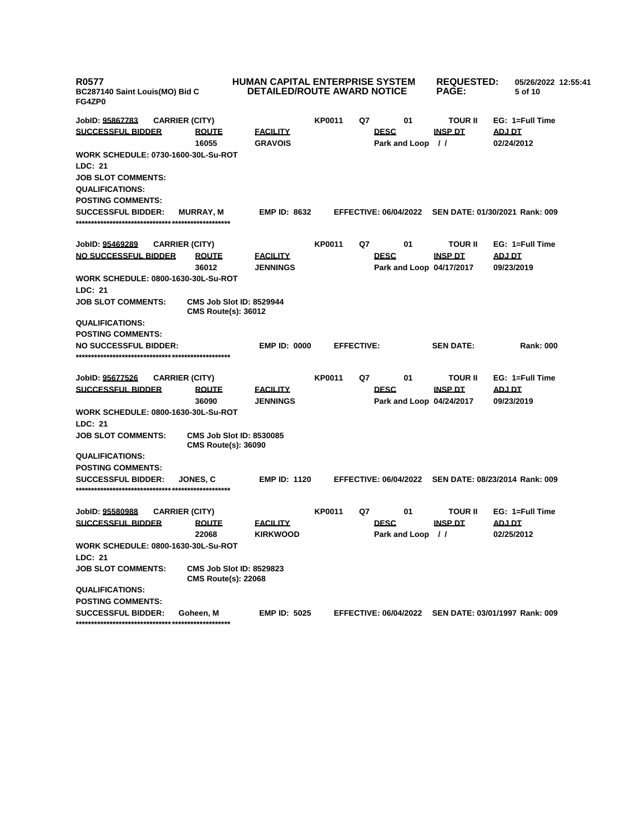| <b>R0577</b><br>BC287140 Saint Louis(MO) Bid C<br>FG4ZP0 |                                                               | <b>HUMAN CAPITAL ENTERPRISE SYSTEM</b><br>DETAILED/ROUTE AWARD NOTICE |               |                   | <b>REQUESTED:</b><br>05/26/2022 12:55:41<br><b>PAGE:</b><br>5 of 10 |                            |                                                      |  |
|----------------------------------------------------------|---------------------------------------------------------------|-----------------------------------------------------------------------|---------------|-------------------|---------------------------------------------------------------------|----------------------------|------------------------------------------------------|--|
| JobID: 95867783                                          | <b>CARRIER (CITY)</b>                                         |                                                                       | <b>KP0011</b> | Q7                | 01                                                                  | <b>TOUR II</b>             | EG: 1=Full Time                                      |  |
| <b>SUCCESSFUL BIDDER</b>                                 | <b>ROUTE</b><br>16055                                         | <b>FACILITY</b><br><b>GRAVOIS</b>                                     |               |                   | <b>DESC</b><br>Park and Loop                                        | <b>INSP DT</b><br>$\prime$ | ADJ DT<br>02/24/2012                                 |  |
| <b>WORK SCHEDULE: 0730-1600-30L-Su-ROT</b>               |                                                               |                                                                       |               |                   |                                                                     |                            |                                                      |  |
| <b>LDC: 21</b>                                           |                                                               |                                                                       |               |                   |                                                                     |                            |                                                      |  |
| <b>JOB SLOT COMMENTS:</b>                                |                                                               |                                                                       |               |                   |                                                                     |                            |                                                      |  |
| <b>QUALIFICATIONS:</b>                                   |                                                               |                                                                       |               |                   |                                                                     |                            |                                                      |  |
| <b>POSTING COMMENTS:</b>                                 |                                                               |                                                                       |               |                   |                                                                     |                            |                                                      |  |
| <b>SUCCESSFUL BIDDER:</b>                                | <b>MURRAY, M</b>                                              | <b>EMP ID: 8632</b>                                                   |               |                   |                                                                     |                            | EFFECTIVE: 06/04/2022 SEN DATE: 01/30/2021 Rank: 009 |  |
| JobID: 95469289                                          | <b>CARRIER (CITY)</b>                                         |                                                                       | <b>KP0011</b> | Q7                | 01                                                                  | <b>TOUR II</b>             | EG: 1=Full Time                                      |  |
| <b>NO SUCCESSFUL BIDDER</b>                              | <b>ROUTE</b>                                                  | <b>FACILITY</b>                                                       |               |                   | <b>DESC</b>                                                         | <b>INSP DT</b>             | <b>ADJ DT</b>                                        |  |
| WORK SCHEDULE: 0800-1630-30L-Su-ROT                      | 36012                                                         | <b>JENNINGS</b>                                                       |               |                   | Park and Loop 04/17/2017                                            |                            | 09/23/2019                                           |  |
| LDC: 21                                                  |                                                               |                                                                       |               |                   |                                                                     |                            |                                                      |  |
| <b>JOB SLOT COMMENTS:</b>                                | <b>CMS Job Slot ID: 8529944</b><br><b>CMS Route(s): 36012</b> |                                                                       |               |                   |                                                                     |                            |                                                      |  |
| <b>QUALIFICATIONS:</b>                                   |                                                               |                                                                       |               |                   |                                                                     |                            |                                                      |  |
| <b>POSTING COMMENTS:</b>                                 |                                                               |                                                                       |               |                   |                                                                     |                            |                                                      |  |
| <b>NO SUCCESSFUL BIDDER:</b>                             |                                                               | <b>EMP ID: 0000</b>                                                   |               | <b>EFFECTIVE:</b> |                                                                     | <b>SEN DATE:</b>           | <b>Rank: 000</b>                                     |  |
|                                                          |                                                               |                                                                       |               |                   |                                                                     |                            |                                                      |  |
| JobID: 95677526                                          | <b>CARRIER (CITY)</b>                                         |                                                                       | <b>KP0011</b> | Q7                | 01                                                                  | <b>TOUR II</b>             | EG: 1=Full Time                                      |  |
| <b>SUCCESSFUL BIDDER</b>                                 | <b>ROUTE</b>                                                  | <b>FACILITY</b>                                                       |               |                   | <b>DESC</b>                                                         | <b>INSP DT</b>             | <b>ADJ DT</b>                                        |  |
|                                                          | 36090                                                         | <b>JENNINGS</b>                                                       |               |                   | Park and Loop 04/24/2017                                            |                            | 09/23/2019                                           |  |
| <b>WORK SCHEDULE: 0800-1630-30L-Su-ROT</b>               |                                                               |                                                                       |               |                   |                                                                     |                            |                                                      |  |
| LDC: 21                                                  |                                                               |                                                                       |               |                   |                                                                     |                            |                                                      |  |
| <b>JOB SLOT COMMENTS:</b>                                | <b>CMS Job Slot ID: 8530085</b><br><b>CMS Route(s): 36090</b> |                                                                       |               |                   |                                                                     |                            |                                                      |  |
| <b>QUALIFICATIONS:</b>                                   |                                                               |                                                                       |               |                   |                                                                     |                            |                                                      |  |
| <b>POSTING COMMENTS:</b>                                 |                                                               |                                                                       |               |                   |                                                                     |                            |                                                      |  |
| <b>SUCCESSFUL BIDDER:</b>                                | JONES. C                                                      | <b>EMP ID: 1120</b>                                                   |               |                   | <b>EFFECTIVE: 06/04/2022</b>                                        |                            | SEN DATE: 08/23/2014 Rank: 009                       |  |
| JobID: 95580988                                          | <b>CARRIER (CITY)</b>                                         |                                                                       | <b>KP0011</b> | Q7                | 01                                                                  | <b>TOUR II</b>             | EG: 1=Full Time                                      |  |
| <b>SUCCESSFUL BIDDER</b>                                 | <b>ROUTE</b><br>22068                                         | <u>FACILITY</u><br><b>KIRKWOOD</b>                                    |               |                   | <b>DESC</b><br>Park and Loop //                                     | <b>INSP DT</b>             | ADJ DT<br>02/25/2012                                 |  |
| WORK SCHEDULE: 0800-1630-30L-Su-ROT                      |                                                               |                                                                       |               |                   |                                                                     |                            |                                                      |  |
| LDC: 21                                                  |                                                               |                                                                       |               |                   |                                                                     |                            |                                                      |  |
| <b>JOB SLOT COMMENTS:</b>                                | <b>CMS Job Slot ID: 8529823</b><br><b>CMS Route(s): 22068</b> |                                                                       |               |                   |                                                                     |                            |                                                      |  |
| <b>QUALIFICATIONS:</b>                                   |                                                               |                                                                       |               |                   |                                                                     |                            |                                                      |  |
| <b>POSTING COMMENTS:</b>                                 |                                                               |                                                                       |               |                   |                                                                     |                            |                                                      |  |
| <b>SUCCESSFUL BIDDER:</b>                                | Goheen, M                                                     | <b>EMP ID: 5025</b>                                                   |               |                   |                                                                     |                            | EFFECTIVE: 06/04/2022 SEN DATE: 03/01/1997 Rank: 009 |  |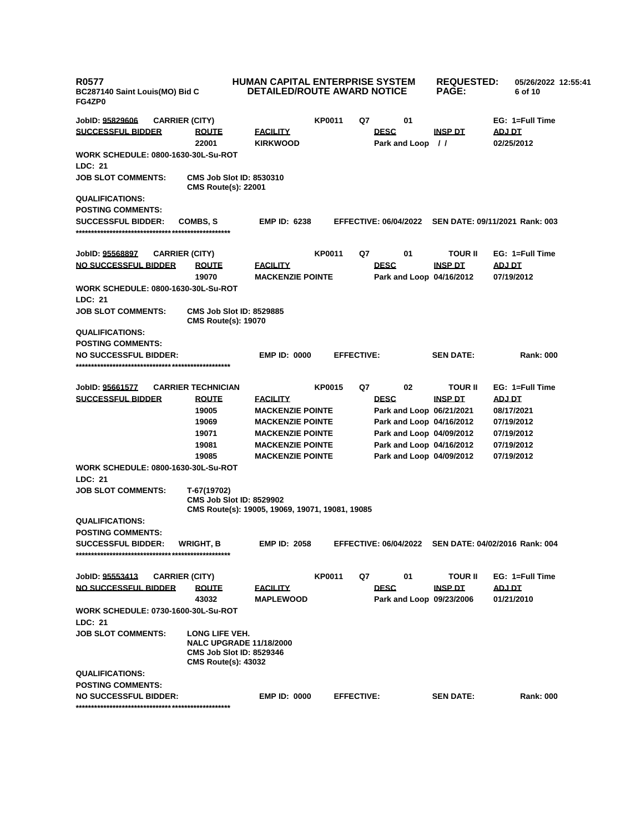| <b>R0577</b><br>BC287140 Saint Louis(MO) Bid C<br>FG4ZP0 |                                                                                                                   | HUMAN CAPITAL ENTERPRISE SYSTEM<br><b>DETAILED/ROUTE AWARD NOTICE</b> |               |                   | <b>REQUESTED:</b><br><b>PAGE:</b>       | 05/26/2022 12:55:41<br>6 of 10 |                                                      |  |
|----------------------------------------------------------|-------------------------------------------------------------------------------------------------------------------|-----------------------------------------------------------------------|---------------|-------------------|-----------------------------------------|--------------------------------|------------------------------------------------------|--|
| JobID: <u>95829606</u>                                   | <b>CARRIER (CITY)</b>                                                                                             |                                                                       | <b>KP0011</b> | Q7                | 01                                      |                                | EG: 1=Full Time                                      |  |
| <b>SUCCESSFUL BIDDER</b>                                 | <b>ROUTE</b><br>22001                                                                                             | <u>FACILITY</u><br><b>KIRKWOOD</b>                                    |               |                   | <b>DESC</b><br>Park and Loop //         | <u>INSP DT</u>                 | ADJ DT<br>02/25/2012                                 |  |
| <b>WORK SCHEDULE: 0800-1630-30L-Su-ROT</b>               |                                                                                                                   |                                                                       |               |                   |                                         |                                |                                                      |  |
| <b>LDC: 21</b>                                           |                                                                                                                   |                                                                       |               |                   |                                         |                                |                                                      |  |
| <b>JOB SLOT COMMENTS:</b>                                | <b>CMS Job Slot ID: 8530310</b><br><b>CMS Route(s): 22001</b>                                                     |                                                                       |               |                   |                                         |                                |                                                      |  |
| <b>QUALIFICATIONS:</b>                                   |                                                                                                                   |                                                                       |               |                   |                                         |                                |                                                      |  |
| <b>POSTING COMMENTS:</b>                                 |                                                                                                                   |                                                                       |               |                   |                                         |                                |                                                      |  |
| <b>SUCCESSFUL BIDDER:</b>                                | COMBS, S                                                                                                          | <b>EMP ID: 6238</b>                                                   |               |                   | <b>EFFECTIVE: 06/04/2022</b>            |                                | SEN DATE: 09/11/2021 Rank: 003                       |  |
| JobID: 95568897                                          | <b>CARRIER (CITY)</b>                                                                                             |                                                                       | <b>KP0011</b> | Q7                | 01                                      | <b>TOUR II</b>                 | EG: 1=Full Time                                      |  |
| <b>NO SUCCESSFUL BIDDER</b>                              | <b>ROUTE</b>                                                                                                      | <b>FACILITY</b>                                                       |               |                   | <b>DESC</b>                             | <b>INSP DT</b>                 | <b>ADJ DT</b>                                        |  |
|                                                          | 19070                                                                                                             | <b>MACKENZIE POINTE</b>                                               |               |                   | Park and Loop 04/16/2012                |                                | 07/19/2012                                           |  |
| <b>WORK SCHEDULE: 0800-1630-30L-Su-ROT</b>               |                                                                                                                   |                                                                       |               |                   |                                         |                                |                                                      |  |
| LDC: 21                                                  |                                                                                                                   |                                                                       |               |                   |                                         |                                |                                                      |  |
| <b>JOB SLOT COMMENTS:</b>                                | <b>CMS Job Slot ID: 8529885</b><br><b>CMS Route(s): 19070</b>                                                     |                                                                       |               |                   |                                         |                                |                                                      |  |
| <b>QUALIFICATIONS:</b>                                   |                                                                                                                   |                                                                       |               |                   |                                         |                                |                                                      |  |
| <b>POSTING COMMENTS:</b>                                 |                                                                                                                   |                                                                       |               |                   |                                         |                                |                                                      |  |
| <b>NO SUCCESSFUL BIDDER:</b>                             |                                                                                                                   | <b>EMP ID: 0000</b>                                                   |               | <b>EFFECTIVE:</b> |                                         | <b>SEN DATE:</b>               | <b>Rank: 000</b>                                     |  |
|                                                          |                                                                                                                   |                                                                       |               |                   |                                         |                                |                                                      |  |
| JobID: 95661577                                          | <b>CARRIER TECHNICIAN</b>                                                                                         |                                                                       | <b>KP0015</b> | Q7                | 02                                      | <b>TOUR II</b>                 | EG: 1=Full Time                                      |  |
| <b>SUCCESSFUL BIDDER</b>                                 | <b>ROUTE</b>                                                                                                      | <b>FACILITY</b>                                                       |               |                   | <b>DESC</b>                             | <b>INSP DT</b>                 | <b>ADJ DT</b>                                        |  |
|                                                          | 19005                                                                                                             | <b>MACKENZIE POINTE</b>                                               |               |                   | Park and Loop 06/21/2021                |                                | 08/17/2021                                           |  |
|                                                          | 19069                                                                                                             | <b>MACKENZIE POINTE</b>                                               |               |                   | Park and Loop 04/16/2012                |                                | 07/19/2012                                           |  |
|                                                          | 19071                                                                                                             | <b>MACKENZIE POINTE</b>                                               |               |                   | Park and Loop 04/09/2012                |                                | 07/19/2012                                           |  |
|                                                          | 19081                                                                                                             | <b>MACKENZIE POINTE</b>                                               |               |                   | Park and Loop 04/16/2012                |                                | 07/19/2012                                           |  |
|                                                          | 19085                                                                                                             | <b>MACKENZIE POINTE</b>                                               |               |                   | Park and Loop 04/09/2012                |                                | 07/19/2012                                           |  |
| <b>WORK SCHEDULE: 0800-1630-30L-Su-ROT</b>               |                                                                                                                   |                                                                       |               |                   |                                         |                                |                                                      |  |
| <b>LDC: 21</b>                                           |                                                                                                                   |                                                                       |               |                   |                                         |                                |                                                      |  |
| <b>JOB SLOT COMMENTS:</b>                                | T-67(19702)                                                                                                       |                                                                       |               |                   |                                         |                                |                                                      |  |
|                                                          | <b>CMS Job Slot ID: 8529902</b>                                                                                   | CMS Route(s): 19005, 19069, 19071, 19081, 19085                       |               |                   |                                         |                                |                                                      |  |
| <b>QUALIFICATIONS:</b>                                   |                                                                                                                   |                                                                       |               |                   |                                         |                                |                                                      |  |
| <b>POSTING COMMENTS:</b>                                 |                                                                                                                   |                                                                       |               |                   |                                         |                                |                                                      |  |
| <b>SUCCESSFUL BIDDER:</b>                                | <b>WRIGHT, B</b>                                                                                                  | <b>EMP ID: 2058</b>                                                   |               |                   |                                         |                                | EFFECTIVE: 06/04/2022 SEN DATE: 04/02/2016 Rank: 004 |  |
|                                                          |                                                                                                                   |                                                                       |               |                   |                                         |                                |                                                      |  |
|                                                          |                                                                                                                   |                                                                       |               |                   |                                         |                                |                                                      |  |
| JobID: <u>95553413</u>                                   | <b>CARRIER (CITY)</b>                                                                                             |                                                                       | <b>KP0011</b> | Q7                | 01                                      | <b>TOUR II</b>                 | EG: 1=Full Time                                      |  |
| <u>NO SUCCESSFUL BIDDER</u>                              | <b>ROUTE</b><br>43032                                                                                             | <b>FACILITY</b><br><b>MAPLEWOOD</b>                                   |               |                   | <b>DESC</b><br>Park and Loop 09/23/2006 | <b>INSP DT</b>                 | <b>ADJ DT</b><br>01/21/2010                          |  |
| <b>WORK SCHEDULE: 0730-1600-30L-Su-ROT</b>               |                                                                                                                   |                                                                       |               |                   |                                         |                                |                                                      |  |
| LDC: 21                                                  |                                                                                                                   |                                                                       |               |                   |                                         |                                |                                                      |  |
| <b>JOB SLOT COMMENTS:</b>                                | LONG LIFE VEH.<br><b>NALC UPGRADE 11/18/2000</b><br><b>CMS Job Slot ID: 8529346</b><br><b>CMS Route(s): 43032</b> |                                                                       |               |                   |                                         |                                |                                                      |  |
| <b>QUALIFICATIONS:</b>                                   |                                                                                                                   |                                                                       |               |                   |                                         |                                |                                                      |  |
| <b>POSTING COMMENTS:</b>                                 |                                                                                                                   |                                                                       |               |                   |                                         |                                |                                                      |  |
| <b>NO SUCCESSFUL BIDDER:</b>                             |                                                                                                                   | <b>EMP ID: 0000</b>                                                   |               | <b>EFFECTIVE:</b> |                                         | <b>SEN DATE:</b>               | <b>Rank: 000</b>                                     |  |
|                                                          |                                                                                                                   |                                                                       |               |                   |                                         |                                |                                                      |  |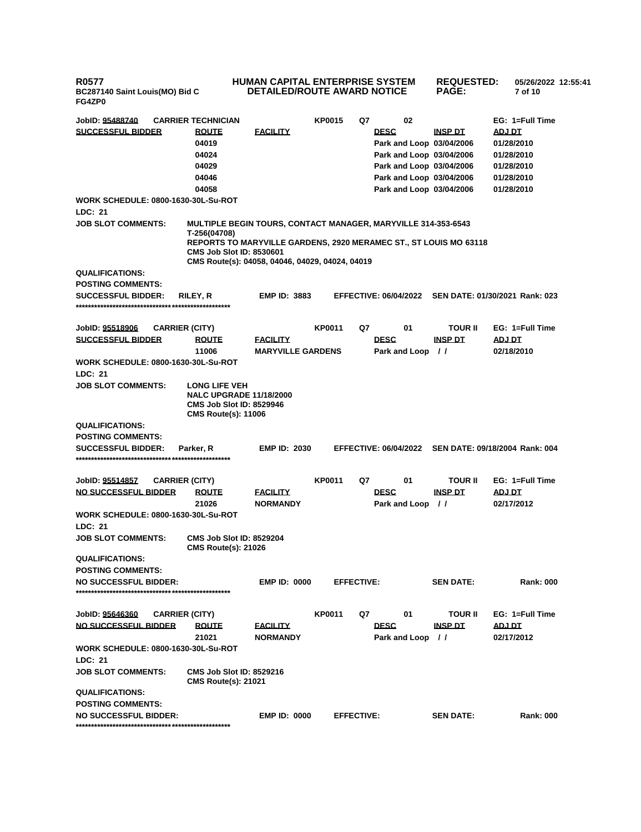**R0577 BC287140 Saint Louis(MO) Bid C FG4ZP0**

## **HUMAN CAPITAL ENTERPRISE SYSTEM DETAILED/ROUTE AWARD NOTICE REQUESTED: 05/26/2022 12:55:41 PAGE: 7 of 10**

| JobID: <u>95488740</u><br><b>SUCCESSFUL BIDDER</b><br><b>WORK SCHEDULE: 0800-1630-30L-Su-ROT</b><br>LDC: 21<br><b>JOB SLOT COMMENTS:</b><br><b>QUALIFICATIONS:</b> | <b>CARRIER TECHNICIAN</b><br><b>ROUTE</b><br>04019<br>04024<br>04029<br>04046<br>04058<br><b>MULTIPLE BEGIN TOURS, CONTACT MANAGER, MARYVILLE 314-353-6543</b><br>T-256(04708)<br><b>REPORTS TO MARYVILLE GARDENS, 2920 MERAMEC ST., ST LOUIS MO 63118</b><br><b>CMS Job Slot ID: 8530601</b><br>CMS Route(s): 04058, 04046, 04029, 04024, 04019 | <b>FACILITY</b>          | <b>KP0015</b> | Q7                | 02<br><b>DESC</b><br>Park and Loop 03/04/2006<br>Park and Loop 03/04/2006<br>Park and Loop 03/04/2006<br>Park and Loop 03/04/2006<br>Park and Loop 03/04/2006 | <b>INSP DT</b>                   | EG: 1=Full Time<br>ADJ DT<br>01/28/2010<br>01/28/2010<br>01/28/2010<br>01/28/2010<br>01/28/2010 |
|--------------------------------------------------------------------------------------------------------------------------------------------------------------------|--------------------------------------------------------------------------------------------------------------------------------------------------------------------------------------------------------------------------------------------------------------------------------------------------------------------------------------------------|--------------------------|---------------|-------------------|---------------------------------------------------------------------------------------------------------------------------------------------------------------|----------------------------------|-------------------------------------------------------------------------------------------------|
| <b>POSTING COMMENTS:</b>                                                                                                                                           |                                                                                                                                                                                                                                                                                                                                                  |                          |               |                   |                                                                                                                                                               |                                  |                                                                                                 |
| <b>SUCCESSFUL BIDDER:</b>                                                                                                                                          | RILEY, R                                                                                                                                                                                                                                                                                                                                         | <b>EMP ID: 3883</b>      |               |                   | <b>EFFECTIVE: 06/04/2022</b>                                                                                                                                  |                                  | SEN DATE: 01/30/2021 Rank: 023                                                                  |
|                                                                                                                                                                    |                                                                                                                                                                                                                                                                                                                                                  |                          |               |                   |                                                                                                                                                               |                                  |                                                                                                 |
|                                                                                                                                                                    |                                                                                                                                                                                                                                                                                                                                                  |                          |               |                   |                                                                                                                                                               |                                  |                                                                                                 |
| JobID: 95518906<br><b>CARRIER (CITY)</b>                                                                                                                           |                                                                                                                                                                                                                                                                                                                                                  |                          | <b>KP0011</b> | Q7                | 01                                                                                                                                                            | TOUR II                          | $EG: 1 = Full Time$                                                                             |
| <b>SUCCESSFUL BIDDER</b>                                                                                                                                           | <b>ROUTE</b>                                                                                                                                                                                                                                                                                                                                     | <b>FACILITY</b>          |               |                   | <b>DESC</b>                                                                                                                                                   | <b>INSP DT</b>                   | <u>ADJ DT</u>                                                                                   |
|                                                                                                                                                                    | 11006                                                                                                                                                                                                                                                                                                                                            | <b>MARYVILLE GARDENS</b> |               |                   | Park and Loop                                                                                                                                                 | $\prime$                         | 02/18/2010                                                                                      |
| <b>WORK SCHEDULE: 0800-1630-30L-Su-ROT</b>                                                                                                                         |                                                                                                                                                                                                                                                                                                                                                  |                          |               |                   |                                                                                                                                                               |                                  |                                                                                                 |
| LDC: 21                                                                                                                                                            |                                                                                                                                                                                                                                                                                                                                                  |                          |               |                   |                                                                                                                                                               |                                  |                                                                                                 |
| <b>JOB SLOT COMMENTS:</b>                                                                                                                                          | <b>LONG LIFE VEH</b><br><b>NALC UPGRADE 11/18/2000</b><br><b>CMS Job Slot ID: 8529946</b><br><b>CMS Route(s): 11006</b>                                                                                                                                                                                                                          |                          |               |                   |                                                                                                                                                               |                                  |                                                                                                 |
| <b>QUALIFICATIONS:</b>                                                                                                                                             |                                                                                                                                                                                                                                                                                                                                                  |                          |               |                   |                                                                                                                                                               |                                  |                                                                                                 |
| <b>POSTING COMMENTS:</b>                                                                                                                                           |                                                                                                                                                                                                                                                                                                                                                  |                          |               |                   |                                                                                                                                                               |                                  |                                                                                                 |
| <b>SUCCESSFUL BIDDER:</b>                                                                                                                                          | Parker, R                                                                                                                                                                                                                                                                                                                                        | <b>EMP ID: 2030</b>      |               |                   |                                                                                                                                                               |                                  | EFFECTIVE: 06/04/2022 SEN DATE: 09/18/2004 Rank: 004                                            |
|                                                                                                                                                                    |                                                                                                                                                                                                                                                                                                                                                  |                          |               |                   |                                                                                                                                                               |                                  |                                                                                                 |
|                                                                                                                                                                    |                                                                                                                                                                                                                                                                                                                                                  |                          |               |                   |                                                                                                                                                               |                                  |                                                                                                 |
| JobID: 95514857<br><b>CARRIER (CITY)</b><br><b>NO SUCCESSFUL BIDDER</b>                                                                                            | <b>ROUTE</b>                                                                                                                                                                                                                                                                                                                                     | <b>FACILITY</b>          | <b>KP0011</b> | Q7                | 01<br><b>DESC</b>                                                                                                                                             | TOUR II<br><b>INSP DT</b>        | EG: 1=Full Time<br><u>ADJ DT</u>                                                                |
|                                                                                                                                                                    | 21026                                                                                                                                                                                                                                                                                                                                            | <b>NORMANDY</b>          |               |                   | Park and Loop                                                                                                                                                 | $\frac{1}{2}$                    | 02/17/2012                                                                                      |
| <b>WORK SCHEDULE: 0800-1630-30L-Su-ROT</b>                                                                                                                         |                                                                                                                                                                                                                                                                                                                                                  |                          |               |                   |                                                                                                                                                               |                                  |                                                                                                 |
| <b>LDC: 21</b>                                                                                                                                                     |                                                                                                                                                                                                                                                                                                                                                  |                          |               |                   |                                                                                                                                                               |                                  |                                                                                                 |
| JOB SLOT COMMENTS:                                                                                                                                                 | <b>CMS Job Slot ID: 8529204</b><br><b>CMS Route(s): 21026</b>                                                                                                                                                                                                                                                                                    |                          |               |                   |                                                                                                                                                               |                                  |                                                                                                 |
| <b>QUALIFICATIONS:</b>                                                                                                                                             |                                                                                                                                                                                                                                                                                                                                                  |                          |               |                   |                                                                                                                                                               |                                  |                                                                                                 |
| <b>POSTING COMMENTS:</b>                                                                                                                                           |                                                                                                                                                                                                                                                                                                                                                  |                          |               |                   |                                                                                                                                                               |                                  |                                                                                                 |
| <b>NO SUCCESSFUL BIDDER:</b>                                                                                                                                       |                                                                                                                                                                                                                                                                                                                                                  | <b>EMP ID: 0000</b>      |               | <b>EFFECTIVE:</b> |                                                                                                                                                               | <b>SEN DATE:</b>                 | <b>Rank: 000</b>                                                                                |
|                                                                                                                                                                    |                                                                                                                                                                                                                                                                                                                                                  |                          |               |                   |                                                                                                                                                               |                                  |                                                                                                 |
|                                                                                                                                                                    |                                                                                                                                                                                                                                                                                                                                                  |                          |               |                   |                                                                                                                                                               |                                  | EG: 1=Full Time                                                                                 |
| JobID: 95646360<br><b>CARRIER (CITY)</b><br><b>NO SUCCESSFUL BIDDER</b>                                                                                            | <b>ROUTE</b>                                                                                                                                                                                                                                                                                                                                     | <b>FACILITY</b>          | <b>KP0011</b> | Q7                | 01<br><b>DESC</b>                                                                                                                                             | <b>TOUR II</b><br><b>INSP DT</b> | <b>ADJ DT</b>                                                                                   |
|                                                                                                                                                                    | 21021                                                                                                                                                                                                                                                                                                                                            | <b>NORMANDY</b>          |               |                   | Park and Loop //                                                                                                                                              |                                  | 02/17/2012                                                                                      |
| WORK SCHEDULE: 0800-1630-30L-Su-ROT                                                                                                                                |                                                                                                                                                                                                                                                                                                                                                  |                          |               |                   |                                                                                                                                                               |                                  |                                                                                                 |
| LDC: 21                                                                                                                                                            |                                                                                                                                                                                                                                                                                                                                                  |                          |               |                   |                                                                                                                                                               |                                  |                                                                                                 |
| <b>JOB SLOT COMMENTS:</b>                                                                                                                                          | <b>CMS Job Slot ID: 8529216</b><br><b>CMS Route(s): 21021</b>                                                                                                                                                                                                                                                                                    |                          |               |                   |                                                                                                                                                               |                                  |                                                                                                 |
| <b>QUALIFICATIONS:</b>                                                                                                                                             |                                                                                                                                                                                                                                                                                                                                                  |                          |               |                   |                                                                                                                                                               |                                  |                                                                                                 |
| <b>POSTING COMMENTS:</b>                                                                                                                                           |                                                                                                                                                                                                                                                                                                                                                  |                          |               |                   |                                                                                                                                                               |                                  |                                                                                                 |
| <b>NO SUCCESSFUL BIDDER:</b>                                                                                                                                       |                                                                                                                                                                                                                                                                                                                                                  | <b>EMP ID: 0000</b>      |               | <b>EFFECTIVE:</b> |                                                                                                                                                               | <b>SEN DATE:</b>                 | <b>Rank: 000</b>                                                                                |
|                                                                                                                                                                    |                                                                                                                                                                                                                                                                                                                                                  |                          |               |                   |                                                                                                                                                               |                                  |                                                                                                 |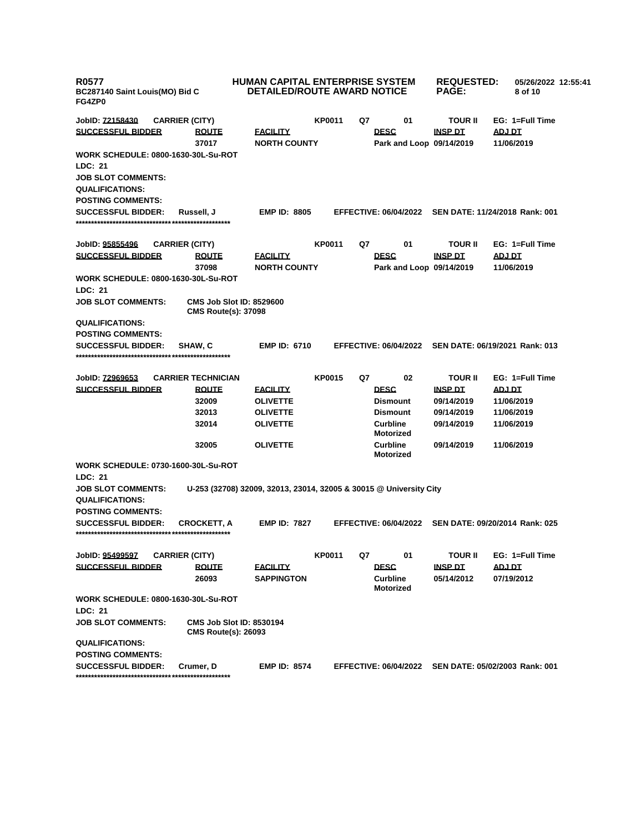| <b>R0577</b><br>BC287140 Saint Louis(MO) Bid C<br>FG4ZP0 |                                                               | <b>HUMAN CAPITAL ENTERPRISE SYSTEM</b><br><b>DETAILED/ROUTE AWARD NOTICE</b> |               |    |                                     | <b>REQUESTED:</b><br><b>PAGE:</b> | 05/26/2022 12:55:41<br>8 of 10                       |
|----------------------------------------------------------|---------------------------------------------------------------|------------------------------------------------------------------------------|---------------|----|-------------------------------------|-----------------------------------|------------------------------------------------------|
| JobID: 72158430                                          | <b>CARRIER (CITY)</b>                                         |                                                                              | <b>KP0011</b> | Q7 | 01                                  | <b>TOUR II</b>                    | EG: 1=Full Time                                      |
| <b>SUCCESSFUL BIDDER</b>                                 | <b>ROUTE</b>                                                  | <b>FACILITY</b>                                                              |               |    | <b>DESC</b>                         | <b>INSP DT</b>                    | ADJ DT                                               |
|                                                          | 37017                                                         | <b>NORTH COUNTY</b>                                                          |               |    | Park and Loop 09/14/2019            |                                   | 11/06/2019                                           |
| <b>WORK SCHEDULE: 0800-1630-30L-Su-ROT</b>               |                                                               |                                                                              |               |    |                                     |                                   |                                                      |
| LDC: 21                                                  |                                                               |                                                                              |               |    |                                     |                                   |                                                      |
| <b>JOB SLOT COMMENTS:</b>                                |                                                               |                                                                              |               |    |                                     |                                   |                                                      |
| <b>QUALIFICATIONS:</b>                                   |                                                               |                                                                              |               |    |                                     |                                   |                                                      |
| <b>POSTING COMMENTS:</b>                                 |                                                               |                                                                              |               |    |                                     |                                   |                                                      |
| <b>SUCCESSFUL BIDDER:</b>                                | Russell, J                                                    | <b>EMP ID: 8805</b>                                                          |               |    |                                     |                                   | EFFECTIVE: 06/04/2022 SEN DATE: 11/24/2018 Rank: 001 |
|                                                          |                                                               |                                                                              |               |    |                                     |                                   |                                                      |
| JobID: 95855496                                          | <b>CARRIER (CITY)</b>                                         |                                                                              | <b>KP0011</b> | Q7 | 01                                  | <b>TOUR II</b>                    | EG: 1=Full Time                                      |
| <b>SUCCESSFUL BIDDER</b>                                 | <b>ROUTE</b>                                                  | <b>FACILITY</b>                                                              |               |    | <b>DESC</b>                         | <b>INSP DT</b>                    | <b>ADJ DT</b>                                        |
|                                                          | 37098                                                         | <b>NORTH COUNTY</b>                                                          |               |    | Park and Loop 09/14/2019            |                                   | 11/06/2019                                           |
| WORK SCHEDULE: 0800-1630-30L-Su-ROT                      |                                                               |                                                                              |               |    |                                     |                                   |                                                      |
| LDC: 21                                                  |                                                               |                                                                              |               |    |                                     |                                   |                                                      |
| <b>JOB SLOT COMMENTS:</b>                                | <b>CMS Job Slot ID: 8529600</b><br><b>CMS Route(s): 37098</b> |                                                                              |               |    |                                     |                                   |                                                      |
| <b>QUALIFICATIONS:</b>                                   |                                                               |                                                                              |               |    |                                     |                                   |                                                      |
| <b>POSTING COMMENTS:</b>                                 |                                                               |                                                                              |               |    |                                     |                                   |                                                      |
| <b>SUCCESSFUL BIDDER:</b>                                | SHAW, C                                                       | <b>EMP ID: 6710</b>                                                          |               |    | <b>EFFECTIVE: 06/04/2022</b>        |                                   | SEN DATE: 06/19/2021 Rank: 013                       |
|                                                          |                                                               |                                                                              |               |    |                                     |                                   |                                                      |
| JobID: 72969653<br><b>SUCCESSFUL BIDDER</b>              | <b>CARRIER TECHNICIAN</b>                                     |                                                                              | <b>KP0015</b> | Q7 | 02                                  | <b>TOUR II</b>                    | EG: 1=Full Time                                      |
|                                                          | <b>ROUTE</b><br>32009                                         | <b>FACILITY</b><br><b>OLIVETTE</b>                                           |               |    | <b>DESC</b><br><b>Dismount</b>      | <b>INSP DT</b><br>09/14/2019      | <u>ADJ DT</u><br>11/06/2019                          |
|                                                          | 32013                                                         | <b>OLIVETTE</b>                                                              |               |    | <b>Dismount</b>                     | 09/14/2019                        | 11/06/2019                                           |
|                                                          | 32014                                                         | <b>OLIVETTE</b>                                                              |               |    | <b>Curbline</b>                     | 09/14/2019                        | 11/06/2019                                           |
|                                                          |                                                               |                                                                              |               |    | <b>Motorized</b>                    |                                   |                                                      |
|                                                          | 32005                                                         | <b>OLIVETTE</b>                                                              |               |    | <b>Curbline</b><br><b>Motorized</b> | 09/14/2019                        | 11/06/2019                                           |
| <b>WORK SCHEDULE: 0730-1600-30L-Su-ROT</b><br>LDC: 21    |                                                               |                                                                              |               |    |                                     |                                   |                                                      |
| <b>JOB SLOT COMMENTS:</b><br><b>QUALIFICATIONS:</b>      |                                                               | U-253 (32708) 32009, 32013, 23014, 32005 & 30015 @ University City           |               |    |                                     |                                   |                                                      |
| <b>POSTING COMMENTS:</b>                                 |                                                               |                                                                              |               |    |                                     |                                   |                                                      |
| <b>SUCCESSFUL BIDDER:</b>                                | <b>CROCKETT, A</b>                                            | <b>EMP ID: 7827</b>                                                          |               |    | <b>EFFECTIVE: 06/04/2022</b>        |                                   | SEN DATE: 09/20/2014 Rank: 025                       |
| JobID: 95499597                                          | <b>CARRIER (CITY)</b>                                         |                                                                              | <b>KP0011</b> | Q7 | 01                                  | <b>TOUR II</b>                    | EG: 1=Full Time                                      |
| <b>SUCCESSFUL BIDDER</b>                                 | <b>ROUTE</b>                                                  | <b>FACILITY</b>                                                              |               |    | <b>DESC</b>                         | <b>INSP DT</b>                    | <b>ADJ DT</b>                                        |
|                                                          | 26093                                                         | <b>SAPPINGTON</b>                                                            |               |    | <b>Curbline</b><br><b>Motorized</b> | 05/14/2012                        | 07/19/2012                                           |
| <b>WORK SCHEDULE: 0800-1630-30L-Su-ROT</b>               |                                                               |                                                                              |               |    |                                     |                                   |                                                      |
| LDC: 21                                                  |                                                               |                                                                              |               |    |                                     |                                   |                                                      |
| <b>JOB SLOT COMMENTS:</b>                                | <b>CMS Job Slot ID: 8530194</b><br><b>CMS Route(s): 26093</b> |                                                                              |               |    |                                     |                                   |                                                      |
| <b>QUALIFICATIONS:</b>                                   |                                                               |                                                                              |               |    |                                     |                                   |                                                      |
| <b>POSTING COMMENTS:</b>                                 |                                                               |                                                                              |               |    |                                     |                                   |                                                      |
| <b>SUCCESSFUL BIDDER:</b>                                | Crumer, D                                                     | <b>EMP ID: 8574</b>                                                          |               |    |                                     |                                   | EFFECTIVE: 06/04/2022 SEN DATE: 05/02/2003 Rank: 001 |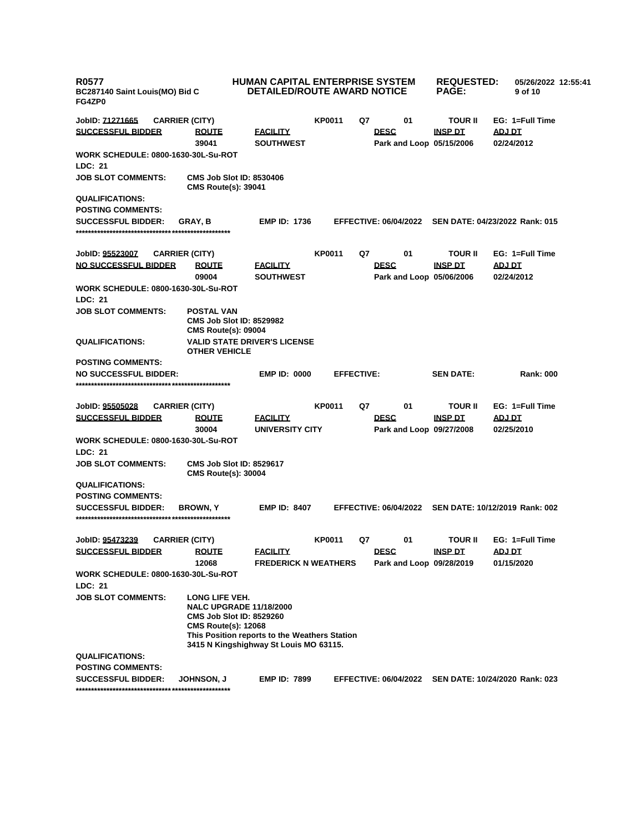| <b>R0577</b><br>BC287140 Saint Louis(MO) Bid C<br>FG4ZP0     |                                                                                                                                                                                                              | <b>HUMAN CAPITAL ENTERPRISE SYSTEM</b><br><b>DETAILED/ROUTE AWARD NOTICE</b> |                   |    | <b>REQUESTED:</b><br><b>PAGE:</b> | 05/26/2022 12:55:41<br>9 of 10 |                                                      |
|--------------------------------------------------------------|--------------------------------------------------------------------------------------------------------------------------------------------------------------------------------------------------------------|------------------------------------------------------------------------------|-------------------|----|-----------------------------------|--------------------------------|------------------------------------------------------|
| JobID: 71271665                                              | <b>CARRIER (CITY)</b>                                                                                                                                                                                        |                                                                              | <b>KP0011</b>     | Q7 | 01                                | TOUR II                        | EG: 1=Full Time                                      |
| <b>SUCCESSFUL BIDDER</b>                                     | <b>ROUTE</b>                                                                                                                                                                                                 | <b>EACILITY</b>                                                              |                   |    | <b>DESC</b>                       | <b>INSP DT</b>                 | ADJ DT                                               |
|                                                              | 39041                                                                                                                                                                                                        | <b>SOUTHWEST</b>                                                             |                   |    | Park and Loop 05/15/2006          |                                | 02/24/2012                                           |
| <b>WORK SCHEDULE: 0800-1630-30L-Su-ROT</b><br><b>LDC: 21</b> |                                                                                                                                                                                                              |                                                                              |                   |    |                                   |                                |                                                      |
| <b>JOB SLOT COMMENTS:</b>                                    | <b>CMS Job Slot ID: 8530406</b><br><b>CMS Route(s): 39041</b>                                                                                                                                                |                                                                              |                   |    |                                   |                                |                                                      |
| <b>QUALIFICATIONS:</b>                                       |                                                                                                                                                                                                              |                                                                              |                   |    |                                   |                                |                                                      |
| <b>POSTING COMMENTS:</b>                                     |                                                                                                                                                                                                              |                                                                              |                   |    |                                   |                                |                                                      |
| <b>SUCCESSFUL BIDDER:</b>                                    | <b>GRAY.B</b>                                                                                                                                                                                                | <b>EMP ID: 1736</b>                                                          |                   |    | <b>EFFECTIVE: 06/04/2022</b>      |                                | SEN DATE: 04/23/2022 Rank: 015                       |
|                                                              |                                                                                                                                                                                                              |                                                                              |                   |    |                                   |                                |                                                      |
|                                                              |                                                                                                                                                                                                              |                                                                              |                   |    |                                   |                                |                                                      |
| JobID: 95523007                                              | <b>CARRIER (CITY)</b>                                                                                                                                                                                        |                                                                              | <b>KP0011</b>     | Q7 | 01                                | TOUR II                        | EG: 1=Full Time                                      |
| <b>NO SUCCESSFUL BIDDER</b>                                  | <b>ROUTE</b>                                                                                                                                                                                                 | <b>FACILITY</b>                                                              |                   |    | <b>DESC</b>                       | <b>INSP DT</b>                 | <u>ADJ DT</u>                                        |
|                                                              | 09004                                                                                                                                                                                                        | <b>SOUTHWEST</b>                                                             |                   |    | Park and Loop 05/06/2006          |                                | 02/24/2012                                           |
| <b>WORK SCHEDULE: 0800-1630-30L-Su-ROT</b><br>LDC: 21        |                                                                                                                                                                                                              |                                                                              |                   |    |                                   |                                |                                                      |
| <b>JOB SLOT COMMENTS:</b>                                    | <b>POSTAL VAN</b><br><b>CMS Job Slot ID: 8529982</b>                                                                                                                                                         |                                                                              |                   |    |                                   |                                |                                                      |
| <b>QUALIFICATIONS:</b>                                       | <b>CMS Route(s): 09004</b><br><b>VALID STATE DRIVER'S LICENSE</b><br><b>OTHER VEHICLE</b>                                                                                                                    |                                                                              |                   |    |                                   |                                |                                                      |
| <b>POSTING COMMENTS:</b>                                     |                                                                                                                                                                                                              |                                                                              |                   |    |                                   |                                |                                                      |
| <b>NO SUCCESSFUL BIDDER:</b>                                 |                                                                                                                                                                                                              | <b>EMP ID: 0000</b>                                                          | <b>EFFECTIVE:</b> |    |                                   | <b>SEN DATE:</b>               | <b>Rank: 000</b>                                     |
|                                                              |                                                                                                                                                                                                              |                                                                              |                   |    |                                   |                                |                                                      |
|                                                              |                                                                                                                                                                                                              |                                                                              |                   |    |                                   |                                |                                                      |
| JobID: 95505028                                              | <b>CARRIER (CITY)</b>                                                                                                                                                                                        |                                                                              | KP0011            | Q7 | 01                                | TOUR II                        | EG: 1=Full Time                                      |
| <b>SUCCESSFUL BIDDER</b>                                     | <b>ROUTE</b>                                                                                                                                                                                                 | <b>FACILITY</b>                                                              |                   |    | <b>DESC</b>                       | <b>INSP DT</b>                 | <u>ADJ DT</u>                                        |
|                                                              | 30004                                                                                                                                                                                                        | UNIVERSITY CITY                                                              |                   |    | Park and Loop 09/27/2008          |                                | 02/25/2010                                           |
| <b>WORK SCHEDULE: 0800-1630-30L-Su-ROT</b>                   |                                                                                                                                                                                                              |                                                                              |                   |    |                                   |                                |                                                      |
| LDC: 21                                                      |                                                                                                                                                                                                              |                                                                              |                   |    |                                   |                                |                                                      |
| <b>JOB SLOT COMMENTS:</b>                                    | <b>CMS Job Slot ID: 8529617</b><br><b>CMS Route(s): 30004</b>                                                                                                                                                |                                                                              |                   |    |                                   |                                |                                                      |
| <b>QUALIFICATIONS:</b>                                       |                                                                                                                                                                                                              |                                                                              |                   |    |                                   |                                |                                                      |
| <b>POSTING COMMENTS:</b>                                     |                                                                                                                                                                                                              |                                                                              |                   |    |                                   |                                |                                                      |
| <b>SUCCESSFUL BIDDER:</b>                                    | <b>BROWN, Y</b>                                                                                                                                                                                              | <b>EMP ID: 8407</b>                                                          |                   |    |                                   |                                | EFFECTIVE: 06/04/2022 SEN DATE: 10/12/2019 Rank: 002 |
| JobID: 95473239                                              | <b>CARRIER (CITY)</b>                                                                                                                                                                                        |                                                                              | KP0011            | Q7 | 01                                | TOUR II                        | EG: 1=Full Time                                      |
| <b>SUCCESSFUL BIDDER</b>                                     | <b>ROUTE</b>                                                                                                                                                                                                 | <b>FACILITY</b>                                                              |                   |    | <b>DESC</b>                       | <b>INSP DT</b>                 | ADJ DT                                               |
|                                                              | 12068                                                                                                                                                                                                        | <b>FREDERICK N WEATHERS</b>                                                  |                   |    | Park and Loop 09/28/2019          |                                | 01/15/2020                                           |
| WORK SCHEDULE: 0800-1630-30L-Su-ROT                          |                                                                                                                                                                                                              |                                                                              |                   |    |                                   |                                |                                                      |
| LDC: 21                                                      |                                                                                                                                                                                                              |                                                                              |                   |    |                                   |                                |                                                      |
| <b>JOB SLOT COMMENTS:</b>                                    | LONG LIFE VEH.<br><b>NALC UPGRADE 11/18/2000</b><br><b>CMS Job Slot ID: 8529260</b><br><b>CMS Route(s): 12068</b><br>This Position reports to the Weathers Station<br>3415 N Kingshighway St Louis MO 63115. |                                                                              |                   |    |                                   |                                |                                                      |
| <b>QUALIFICATIONS:</b>                                       |                                                                                                                                                                                                              |                                                                              |                   |    |                                   |                                |                                                      |
| <b>POSTING COMMENTS:</b>                                     |                                                                                                                                                                                                              |                                                                              |                   |    |                                   |                                |                                                      |
| <b>SUCCESSFUL BIDDER:</b>                                    | JOHNSON, J                                                                                                                                                                                                   | <b>EMP ID: 7899</b>                                                          |                   |    | <b>EFFECTIVE: 06/04/2022</b>      |                                | SEN DATE: 10/24/2020 Rank: 023                       |